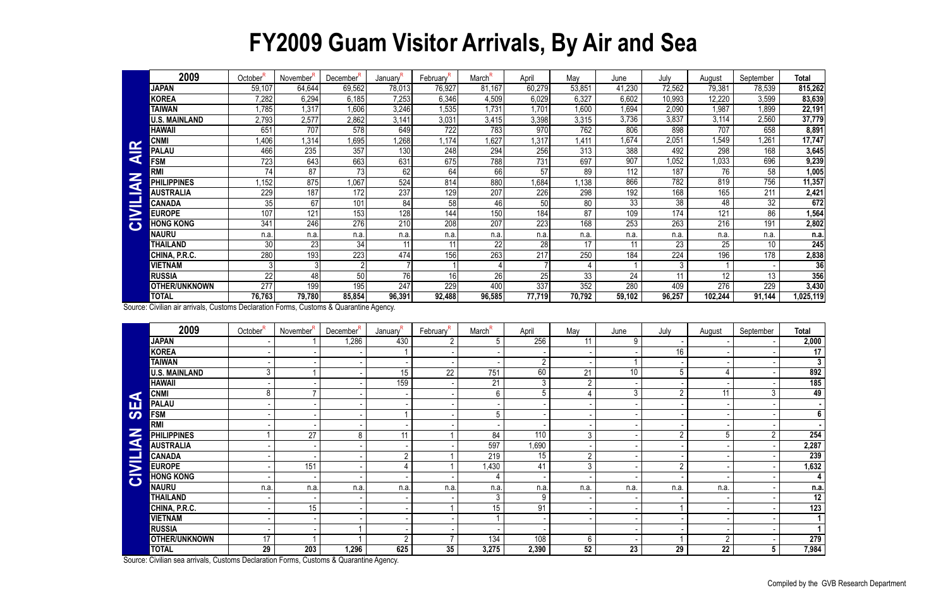## **FY2009 Guam Visitor Arrivals, By Air and Sea**

|                          | 2009                 | October <sup>F</sup> | November <sup>"</sup> | December'' | January'         | February'        | March <sup>R</sup> | April  | May             | June   | July   | August  | September       | <b>Total</b> |
|--------------------------|----------------------|----------------------|-----------------------|------------|------------------|------------------|--------------------|--------|-----------------|--------|--------|---------|-----------------|--------------|
|                          | <b>JAPAN</b>         | 59,107               | 64,644                | 69,562     | 78,013           | 76,927           | 81,167             | 60,279 | 53,851          | 41,230 | 72,562 | 79,381  | 78,539          | 815,262      |
|                          | <b>KOREA</b>         | 7,282                | 6,294                 | 6,185      | 7,253            | 6,346            | 4,509              | 6,029  | 6,327           | 6,602  | 10,993 | 12,220  | 3,599           | 83,639       |
|                          | <b>TAIWAN</b>        | ,785                 | 1,317                 | 1,606      | 3,246            | 1,535            | 1,73'              | 1,701  | ,600            | 1,694  | 2,090  | ,987    | 1,899           | 22,191       |
|                          | <b>U.S. MAINLAND</b> | 2,793                | 2,577                 | 2,862      | 3,141            | 3,031            | 3,415              | 3,398  | 3,315           | 3,736  | 3,837  | 3,114   | 2,560           | 37,779       |
|                          | HAWAII               | 651                  | 707                   | 578        | 649              | 722              | 783                | 970    | 762             | 806    | 898    | 707     | 658             | 8,891        |
| $\alpha$                 | <b>CNMI</b>          | .406                 | 1,314                 | 1,695      | ,268             | 1,174            | 1,627              | 1,317  | .411            | 1,674  | 2,051  | ,549    | 1,261           | 17,747       |
| <b>Contract Contract</b> | <b>PALAU</b>         | 466                  | 235                   | 357        | 130              | 248              | 294                | 256    | 313             | 388    | 492    | 298     | 168             | 3,645        |
| $\blacktriangleleft$     | <b>FSM</b>           | 723                  | 643                   | 663        | 631              | 675              | 788                | 731    | 697             | 907    | 1,052  | 1,033   | 696             | 9,239        |
| Z                        | <b>RM</b>            | 74                   | 87                    | 73         | 62               | 64               | 66                 | 57     | 89              | 112    | 187    | 76      | 58              | 1,005        |
| q                        | <b>PHILIPPINES</b>   | 1,152                | 875                   | 1,067      | 524              | 814              | 880                | 1,684  | 1,138           | 866    | 782    | 819     | 756             | 11,357       |
| —                        | <b>AUSTRALIA</b>     | 229                  | 187                   | 172        | 237              | 129              | 207                | 226    | 298             | 192    | 168    | 165     | 211             | 2,421        |
|                          | <b>CANADA</b>        | 35                   | 67                    | 101        | 84               | 58               | 46                 | 50     | 80              | 33     | 38     | 48      | 32              | 672          |
| $\geq$                   | <b>EUROPE</b>        | 107                  | 121                   | 153        | $\overline{128}$ | $14\overline{4}$ | 150                | 184    | $\overline{87}$ | 109    | 174    | 121     | 86              | 1,564        |
| $\bullet$                | <b>HONG KONG</b>     | 341                  | 246                   | 276        | 210              | 208              | 207                | 223    | 168             | 253    | 263    | 216     | 191             | 2,802        |
|                          | <b>NAURU</b>         | n.a.                 | n.a.                  | n.a.       | n.a.             | n.a              | n.a                | n.a.   | n.a.            | n.a.   | n.a.   | n.a.    | n.a.            | n.a          |
|                          | THAILAND             | 30                   | 23                    | 34         | 11               |                  | 22                 | 28     | 17              | 11     | 23     | 25      | 10 <sup>°</sup> | 245          |
|                          | CHINA, P.R.C.        | 280                  | 193                   | 223        | 474              | 156              | 263                | 217    | 250             | 184    | 224    | 196     | 178             | 2,838        |
|                          | <b>VIETNAM</b>       |                      |                       |            |                  |                  |                    |        |                 |        | 3      |         |                 | 36           |
|                          | <b>RUSSIA</b>        | 22                   | 48                    | 50         | 76               | 16               | 26                 | 25     | 33              | 24     | 11     | 12      | 13              | 356          |
|                          | <b>OTHER/UNKNOWN</b> | 277                  | 199                   | 195        | 247              | 229              | 400                | 337    | 352             | 280    | 409    | 276     | 229             | 3,430        |
|                          | <b>TOTAL</b>         | 76,763               | 79,780                | 85,854     | 96,391           | 92,488           | 96,585             | 77,719 | 70,792          | 59,102 | 96,257 | 102,244 | 91,144          | 1,025,119    |

|                      | <b>UNIVIL</b>                                                                          | 1,400                | ۱,۳ ن                 | טפט, ו                | 1,400                | $1, 11 +$             | ، 20, 1            | 1,017            | 1, <del>4</del> 1 1 | 1,074           | ∠,∪∪ ⊧          | די, ו           | ⊺ ∪∠, ו          | 11,141                  |
|----------------------|----------------------------------------------------------------------------------------|----------------------|-----------------------|-----------------------|----------------------|-----------------------|--------------------|------------------|---------------------|-----------------|-----------------|-----------------|------------------|-------------------------|
| <b>AIR</b>           | <b>PALAU</b>                                                                           | 466                  | 235                   | 357                   | 130                  | 248                   | 294                | 256              | 313                 | 388             | 492             | 298             | 168              | 3,645                   |
|                      | <b>FSM</b>                                                                             | 723                  | 643                   | 663                   | 631                  | 675                   | 788                | 731              | 697                 | 907             | 1,052           | ,033            | 696              | 9,239                   |
|                      | <b>RMI</b>                                                                             | $\overline{74}$      | 87                    | 73                    | 62                   | 64                    | 66                 | 57               | $\overline{89}$     | 112             | 187             | 76              | 58               | 1,005                   |
| CIVILIAN             | <b>PHILIPPINES</b>                                                                     | ,152                 | 875                   | 1,067                 | 524                  | 814                   | 880                | 1,684            | 1,138               | 866             | 782             | 819             | 756              | 11,357                  |
|                      | <b>AUSTRALIA</b>                                                                       | 229                  | 187                   | 172                   | 237                  | 129                   | 207                | 226              | 298                 | 192             | 168             | 165             | $\overline{211}$ | 2,421                   |
|                      | <b>CANADA</b>                                                                          | 35                   | 67                    | 101                   | 84                   | 58                    | 46                 | 50               | 80                  | 33              | $\overline{38}$ | 48              | $\overline{32}$  | 672                     |
|                      | <b>EUROPE</b>                                                                          | 107                  | 121                   | 153                   | 128                  | 144                   | 150                | 184              | 87                  | 109             | 174             | 121             | 86               | 1,564                   |
|                      | <b>HONG KONG</b>                                                                       | 341                  | 246                   | 276                   | $\overline{210}$     | 208                   | 207                | 223              | 168                 | 253             | 263             | 216             | 191              | 2,802                   |
|                      | <b>NAURU</b>                                                                           | n.a.                 | n.a.                  | n.a.                  | n.a.                 | n.a.                  | n.a.               | n.a.             | n.a.                | n.a.            | n.a.            | n.a.            | n.a.             | n.a.                    |
|                      | <b>THAILAND</b>                                                                        | 30                   | $\overline{23}$       | 34                    | 11                   | 11                    | 22                 | 28               | 17                  | 11              | 23              | $\overline{25}$ | $\overline{10}$  | 245                     |
|                      | CHINA, P.R.C.                                                                          | 280                  | 193                   | 223                   | 474                  | 156                   | 263                | $\overline{217}$ | 250                 | 184             | 224             | 196             | 178              | 2,838                   |
|                      | <b>VIETNAM</b>                                                                         | 3                    | $\mathfrak{Z}$        | $\overline{2}$        |                      |                       |                    |                  |                     |                 | 3               | $\overline{1}$  |                  | 36                      |
|                      | <b>RUSSIA</b>                                                                          | 22                   | 48                    | 50                    | 76                   | 16                    | 26                 | 25               | 33                  | 24              | 11              | $\overline{12}$ | $\overline{13}$  | 356                     |
|                      | OTHER/UNKNOWN                                                                          | 277                  | 199                   | 195                   | 247                  | 229                   | 400                | 337              | 352                 | 280             | 409             | 276             | 229              | 3,430                   |
|                      | <b>TOTAL</b>                                                                           | 76,763               | 79,780                | 85,854                | 96,391               | 92,488                | 96,585             | 77,719           | 70,792              | 59,102          | 96,257          | 102,244         | 91,144           | 1,025,119               |
|                      | Source: Civilian air arrivals, Customs Declaration Forms, Customs & Quarantine Agency. |                      |                       |                       |                      |                       |                    |                  |                     |                 |                 |                 |                  |                         |
|                      | 2009                                                                                   | October <sup>R</sup> | November <sup>R</sup> | December <sup>R</sup> | January <sup>R</sup> | February <sup>R</sup> | March <sup>R</sup> | April            | May                 | June            | July            | August          | September        | <b>Total</b>            |
|                      | <b>JAPAN</b>                                                                           |                      |                       | 1,286                 | 430                  |                       | 5                  | 256              | 11                  | 9               |                 |                 |                  | 2,000                   |
|                      | <b>KOREA</b>                                                                           |                      |                       |                       |                      |                       |                    |                  |                     |                 | 16              |                 |                  | 17                      |
|                      | <b>TAIWAN</b>                                                                          |                      |                       |                       |                      |                       |                    | $\overline{2}$   |                     |                 |                 |                 |                  | $\mathbf{3}$            |
|                      | <b>U.S. MAINLAND</b>                                                                   | $\mathfrak{Z}$       |                       |                       | 15                   | $\overline{22}$       | 751                | 60               | 21                  | 10 <sup>°</sup> | 5               | 4               |                  | 892                     |
|                      | <b>HAWAII</b>                                                                          |                      |                       |                       | 159                  |                       | 21                 | $\mathbf{3}$     | 2                   |                 |                 |                 |                  | 185                     |
| $\blacktriangleleft$ | <b>CNMI</b>                                                                            | 8                    | $\overline{7}$        |                       |                      |                       | 6                  | 5                | 4                   | $\mathfrak{Z}$  | $\overline{2}$  | 11              | $\mathfrak{Z}$   | 49                      |
|                      | <b>PALAU</b>                                                                           |                      |                       |                       |                      |                       |                    |                  |                     |                 |                 |                 |                  | $\blacksquare$          |
| <b>95</b>            | <b>FSM</b>                                                                             |                      |                       |                       |                      |                       | 5                  |                  |                     |                 |                 |                 |                  | $\boldsymbol{6}$        |
|                      | <b>RMI</b>                                                                             |                      |                       |                       |                      |                       |                    |                  |                     |                 |                 |                 |                  |                         |
| Z                    | <b>PHILIPPINES</b>                                                                     |                      | $\overline{27}$       | 8                     | 11                   |                       | 84                 | 110              | 3                   |                 | $\overline{2}$  | 5               | $\overline{2}$   | 254                     |
| CIVILIA              | <b>AUSTRALIA</b>                                                                       |                      |                       |                       |                      |                       | 597                | 1,690            |                     |                 |                 |                 |                  | 2,287                   |
|                      | <b>CANADA</b>                                                                          |                      |                       |                       | $\overline{2}$       |                       | 219                | 15               | $\overline{2}$      |                 |                 |                 |                  | 239                     |
|                      | <b>EUROPE</b>                                                                          |                      | 151                   |                       | $\overline{4}$       |                       | 1,430              | 41               | 3                   |                 | $\overline{2}$  |                 |                  | 1,632                   |
|                      | <b>HONG KONG</b>                                                                       |                      |                       |                       |                      |                       | 4                  |                  |                     |                 |                 |                 |                  | $\overline{\mathbf{4}}$ |
|                      | <b>NAURU</b>                                                                           | n.a.                 | n.a.                  | n.a.                  | n.a.                 | n.a.                  | n.a.               | n.a.             | n.a.                | n.a.            | n.a.            | n.a.            |                  | n.a.                    |
|                      | <b>THAILAND</b>                                                                        |                      |                       |                       |                      |                       | $\mathfrak{Z}$     | 9                |                     |                 |                 |                 |                  | 12                      |
|                      | CHINA, P.R.C.                                                                          |                      | 15 <sub>15</sub>      |                       |                      |                       | 15                 | 91               |                     |                 |                 |                 |                  | 123                     |
|                      | <b>VIETNAM</b>                                                                         |                      |                       |                       |                      |                       |                    |                  |                     |                 |                 |                 |                  | $\mathbf{1}$            |
|                      | <b>RUSSIA</b>                                                                          |                      |                       |                       |                      |                       |                    |                  |                     |                 |                 |                 |                  | $\mathbf{1}$            |
|                      | OTHER/UNKNOWN                                                                          | $\overline{17}$      |                       |                       | $\overline{2}$       |                       | 134                | 108              | 6                   |                 |                 | $\overline{2}$  |                  | 279                     |
|                      | <b>TOTAL</b>                                                                           | 29                   | 203                   | 1,296                 | 625                  | 35                    | 3,275              | 2,390            | 52                  | 23              | $\overline{29}$ | $\overline{22}$ | $5\overline{)}$  | 7,984                   |
|                      | Source: Civilian sea arrivals, Customs Declaration Forms, Customs & Quarantine Agency. |                      |                       |                       |                      |                       |                    |                  |                     |                 |                 |                 |                  |                         |

| August         | September      | <b>Total</b>    |
|----------------|----------------|-----------------|
| ۰              |                | 2,000           |
|                |                | 17              |
|                |                | 3               |
| 4              |                | 892             |
|                |                | 185             |
| 11             | 3              | 49              |
|                |                |                 |
|                |                | 6               |
|                |                |                 |
| 5              | $\overline{c}$ | 254             |
|                |                | 2,287           |
|                |                | 239             |
|                |                | 1,632           |
|                |                | 4               |
| n.a.           |                | n.a.            |
|                |                | $\overline{12}$ |
|                |                | 123             |
|                |                |                 |
|                |                | 1               |
| $\overline{2}$ |                | 279             |
| 22             | 5              | 7,984           |